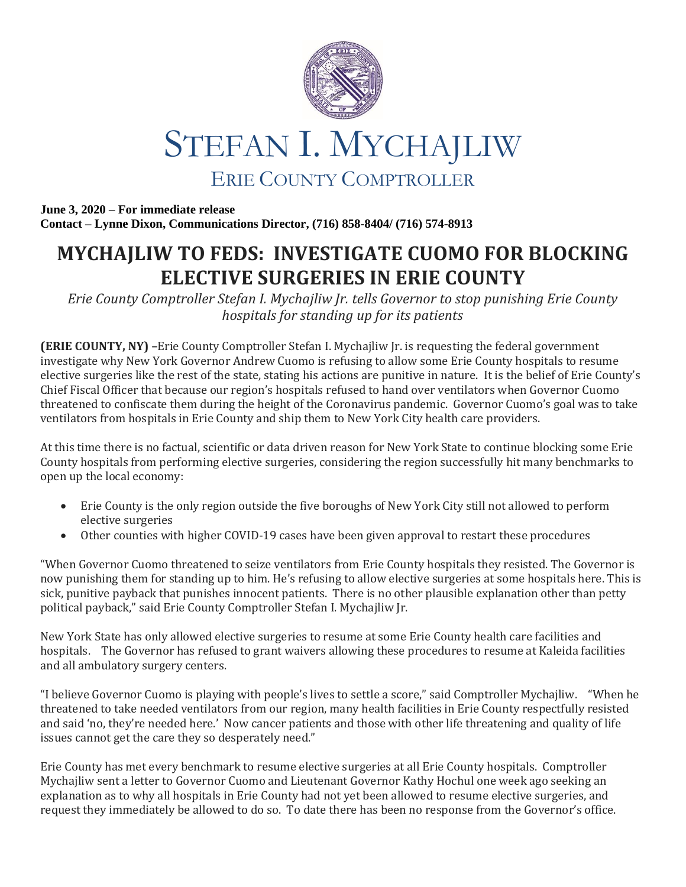

## STEFAN I. MYCHAJLIW ERIE COUNTY COMPTROLLER

**June 3, 2020 – For immediate release Contact – Lynne Dixon, Communications Director, (716) 858-8404/ (716) 574-8913**

## **MYCHAJLIW TO FEDS: INVESTIGATE CUOMO FOR BLOCKING ELECTIVE SURGERIES IN ERIE COUNTY**

*Erie County Comptroller Stefan I. Mychajliw Jr. tells Governor to stop punishing Erie County hospitals for standing up for its patients*

**(ERIE COUNTY, NY) –**Erie County Comptroller Stefan I. Mychajliw Jr. is requesting the federal government investigate why New York Governor Andrew Cuomo is refusing to allow some Erie County hospitals to resume elective surgeries like the rest of the state, stating his actions are punitive in nature. It is the belief of Erie County's Chief Fiscal Officer that because our region's hospitals refused to hand over ventilators when Governor Cuomo threatened to confiscate them during the height of the Coronavirus pandemic. Governor Cuomo's goal was to take ventilators from hospitals in Erie County and ship them to New York City health care providers.

At this time there is no factual, scientific or data driven reason for New York State to continue blocking some Erie County hospitals from performing elective surgeries, considering the region successfully hit many benchmarks to open up the local economy:

- Erie County is the only region outside the five boroughs of New York City still not allowed to perform elective surgeries
- Other counties with higher COVID-19 cases have been given approval to restart these procedures

"When Governor Cuomo threatened to seize ventilators from Erie County hospitals they resisted. The Governor is now punishing them for standing up to him. He's refusing to allow elective surgeries at some hospitals here. This is sick, punitive payback that punishes innocent patients. There is no other plausible explanation other than petty political payback," said Erie County Comptroller Stefan I. Mychajliw Jr.

New York State has only allowed elective surgeries to resume at some Erie County health care facilities and hospitals. The Governor has refused to grant waivers allowing these procedures to resume at Kaleida facilities and all ambulatory surgery centers.

"I believe Governor Cuomo is playing with people's lives to settle a score," said Comptroller Mychajliw. "When he threatened to take needed ventilators from our region, many health facilities in Erie County respectfully resisted and said 'no, they're needed here.' Now cancer patients and those with other life threatening and quality of life issues cannot get the care they so desperately need."

Erie County has met every benchmark to resume elective surgeries at all Erie County hospitals. Comptroller Mychajliw sent a letter to Governor Cuomo and Lieutenant Governor Kathy Hochul one week ago seeking an explanation as to why all hospitals in Erie County had not yet been allowed to resume elective surgeries, and request they immediately be allowed to do so. To date there has been no response from the Governor's office.